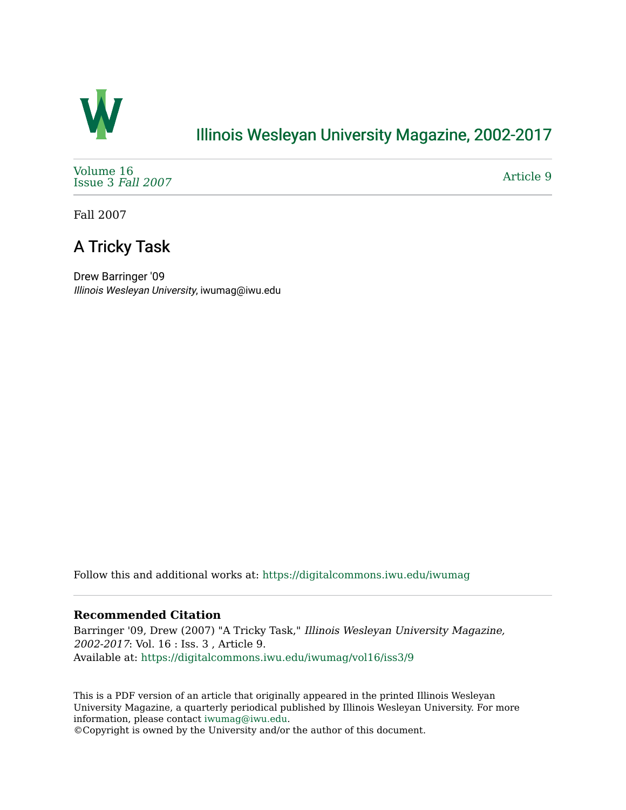

### [Illinois Wesleyan University Magazine, 2002-2017](https://digitalcommons.iwu.edu/iwumag)

[Volume 16](https://digitalcommons.iwu.edu/iwumag/vol16)  [Issue 3](https://digitalcommons.iwu.edu/iwumag/vol16/iss3) Fall 2007

[Article 9](https://digitalcommons.iwu.edu/iwumag/vol16/iss3/9) 

Fall 2007

## A Tricky Task

Drew Barringer '09 Illinois Wesleyan University, iwumag@iwu.edu

Follow this and additional works at: [https://digitalcommons.iwu.edu/iwumag](https://digitalcommons.iwu.edu/iwumag?utm_source=digitalcommons.iwu.edu%2Fiwumag%2Fvol16%2Fiss3%2F9&utm_medium=PDF&utm_campaign=PDFCoverPages) 

#### **Recommended Citation**

Barringer '09, Drew (2007) "A Tricky Task," Illinois Wesleyan University Magazine, 2002-2017: Vol. 16 : Iss. 3 , Article 9. Available at: [https://digitalcommons.iwu.edu/iwumag/vol16/iss3/9](https://digitalcommons.iwu.edu/iwumag/vol16/iss3/9?utm_source=digitalcommons.iwu.edu%2Fiwumag%2Fvol16%2Fiss3%2F9&utm_medium=PDF&utm_campaign=PDFCoverPages)

This is a PDF version of an article that originally appeared in the printed Illinois Wesleyan University Magazine, a quarterly periodical published by Illinois Wesleyan University. For more information, please contact [iwumag@iwu.edu](mailto:iwumag@iwu.edu).

©Copyright is owned by the University and/or the author of this document.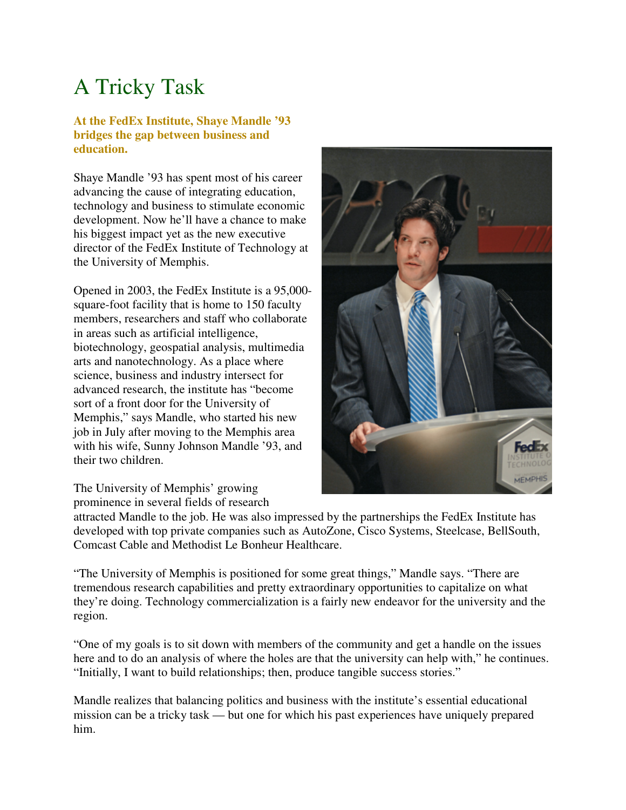# A Tricky Task

#### **At the FedEx Institute, Shaye Mandle '93 bridges the gap between business and education.**

Shaye Mandle '93 has spent most of his career advancing the cause of integrating education, technology and business to stimulate economic development. Now he'll have a chance to make his biggest impact yet as the new executive director of the FedEx Institute of Technology at the University of Memphis.

Opened in 2003, the FedEx Institute is a 95,000 square-foot facility that is home to 150 faculty members, researchers and staff who collaborate in areas such as artificial intelligence, biotechnology, geospatial analysis, multimedia arts and nanotechnology. As a place where science, business and industry intersect for advanced research, the institute has "become sort of a front door for the University of Memphis," says Mandle, who started his new job in July after moving to the Memphis area with his wife, Sunny Johnson Mandle '93, and their two children.

The University of Memphis' growing prominence in several fields of research



attracted Mandle to the job. He was also impressed by the partnerships the FedEx Institute has developed with top private companies such as AutoZone, Cisco Systems, Steelcase, BellSouth, Comcast Cable and Methodist Le Bonheur Healthcare.

"The University of Memphis is positioned for some great things," Mandle says. "There are tremendous research capabilities and pretty extraordinary opportunities to capitalize on what they're doing. Technology commercialization is a fairly new endeavor for the university and the region.

"One of my goals is to sit down with members of the community and get a handle on the issues here and to do an analysis of where the holes are that the university can help with," he continues. "Initially, I want to build relationships; then, produce tangible success stories."

Mandle realizes that balancing politics and business with the institute's essential educational mission can be a tricky task — but one for which his past experiences have uniquely prepared him.